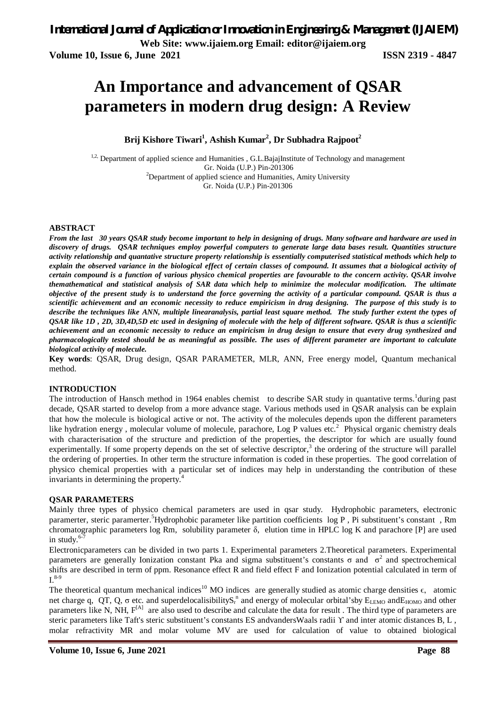**Volume 10, Issue 6, June 2021 ISSN 2319 - 4847**

# **An Importance and advancement of QSAR parameters in modern drug design: A Review**

**Brij Kishore Tiwari<sup>1</sup> , Ashish Kumar<sup>2</sup> , Dr Subhadra Rajpoot<sup>2</sup>**

<sup>1,2,</sup> Department of applied science and Humanities , G.L.BajajInstitute of Technology and management Gr. Noida (U.P.) Pin-201306  $2$ Department of applied science and Humanities, Amity University Gr. Noida (U.P.) Pin-201306

#### **ABSTRACT**

*From the last 30 years QSAR study become important to help in designing of drugs. Many software and hardware are used in discovery of drugs. QSAR techniques employ powerful computers to generate large data bases result. Quantities structure activity relationship and quantative structure property relationship is essentially computerised statistical methods which help to explain the observed variance in the biological effect of certain classes of compound. It assumes that a biological activity of certain compound is a function of various physico chemical properties are favourable to the concern activity. QSAR involve themathematical and statistical analysis of SAR data which help to minimize the molecular modification. The ultimate objective of the present study is to understand the force governing the activity of a particular compound. QSAR is thus a scientific achievement and an economic necessity to reduce empiricism in drug designing. The purpose of this study is to describe the techniques like ANN, multiple linearanalysis, partial least square method. The study further extent the types of QSAR like 1D , 2D, 3D,4D,5D etc used in designing of molecule with the help of different software. QSAR is thus a scientific achievement and an economic necessity to reduce an empiricism in drug design to ensure that every drug synthesized and pharmacologically tested should be as meaningful as possible. The uses of different parameter are important to calculate biological activity of molecule.* 

**Key words**: QSAR, Drug design, QSAR PARAMETER, MLR, ANN, Free energy model, Quantum mechanical method.

#### **INTRODUCTION**

The introduction of Hansch method in 1964 enables chemist to describe SAR study in quantative terms.<sup>1</sup> during past decade, QSAR started to develop from a more advance stage. Various methods used in QSAR analysis can be explain that how the molecule is biological active or not. The activity of the molecules depends upon the different parameters like hydration energy, molecular volume of molecule, parachore, Log P values etc.<sup>2</sup> Physical organic chemistry deals with characterisation of the structure and prediction of the properties, the descriptor for which are usually found experimentally. If some property depends on the set of selective descriptor,<sup>3</sup> the ordering of the structure will parallel the ordering of properties. In other term the structure information is coded in these properties. The good correlation of physico chemical properties with a particular set of indices may help in understanding the contribution of these invariants in determining the property.<sup>4</sup>

#### **QSAR PARAMETERS**

Mainly three types of physico chemical parameters are used in qsar study. Hydrophobic parameters, electronic paramerter, steric paramerter.<sup>5</sup>Hydrophobic parameter like partition coefficients log P , Pi substituent's constant , Rm chromatographic parameters log Rm, solubility parameter δ, elution time in HPLC log K and parachore [P] are used in study. 6-7

Electronicparameters can be divided in two parts 1. Experimental parameters 2.Theoretical parameters. Experimental parameters are generally Ionization constant Pka and sigma substituent's constants σ and  $\sigma^2$  and spectrochemical shifts are described in term of ppm. Resonance effect R and field effect F and Ionization potential calculated in term of  $I^{8-9}$ 

The theoretical quantum mechanical indices<sup>10</sup> MO indices are generally studied as atomic charge densities  $\epsilon$ , atomic net charge q, QT, Q,  $\sigma$  etc. and superdelocalisibilityS<sub>r</sub><sup>n</sup> and energy of molecular orbital'sby  $E_{LEMO}$  and  $E_{HOMO}$  and other parameters like N, NH, F<sup>[A]</sup> are also used to describe and calculate the data for result. The third type of parameters are steric parameters like Taft's steric substituent's constants ES andvandersWaals radii Υ and inter atomic distances B, L, molar refractivity MR and molar volume MV are used for calculation of value to obtained biological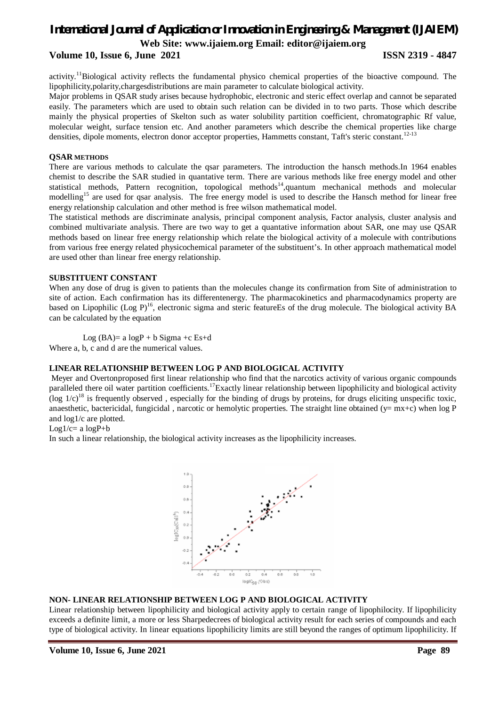### **Volume 10, Issue 6, June 2021 ISSN 2319 - 4847**

activity.<sup>11</sup>Biological activity reflects the fundamental physico chemical properties of the bioactive compound. The lipophilicity,polarity,chargesdistributions are main parameter to calculate biological activity.

Major problems in QSAR study arises because hydrophobic, electronic and steric effect overlap and cannot be separated easily. The parameters which are used to obtain such relation can be divided in to two parts. Those which describe mainly the physical properties of Skelton such as water solubility partition coefficient, chromatographic Rf value, molecular weight, surface tension etc. And another parameters which describe the chemical properties like charge densities, dipole moments, electron donor acceptor properties, Hammetts constant, Taft's steric constant.<sup>12-13</sup>

#### **QSAR METHODS**

There are various methods to calculate the qsar parameters. The introduction the hansch methods.In 1964 enables chemist to describe the SAR studied in quantative term. There are various methods like free energy model and other statistical methods, Pattern recognition, topological methods<sup>14</sup>,quantum mechanical methods and molecular modelling<sup>15</sup> are used for qsar analysis. The free energy model is used to describe the Hansch method for linear free energy relationship calculation and other method is free wilson mathematical model.

The statistical methods are discriminate analysis, principal component analysis, Factor analysis, cluster analysis and combined multivariate analysis. There are two way to get a quantative information about SAR, one may use QSAR methods based on linear free energy relationship which relate the biological activity of a molecule with contributions from various free energy related physicochemical parameter of the substituent's. In other approach mathematical model are used other than linear free energy relationship.

#### **SUBSTITUENT CONSTANT**

When any dose of drug is given to patients than the molecules change its confirmation from Site of administration to site of action. Each confirmation has its differentenergy. The pharmacokinetics and pharmacodynamics property are based on Lipophilic (Log P)<sup>16</sup>, electronic sigma and steric featureEs of the drug molecule. The biological activity BA can be calculated by the equation

Log  $(BA)=a \log P + b$  Sigma +c Es+d

Where a, b, c and d are the numerical values.

#### **LINEAR RELATIONSHIP BETWEEN LOG P AND BIOLOGICAL ACTIVITY**

Meyer and Overtonproposed first linear relationship who find that the narcotics activity of various organic compounds paralleled there oil water partition coefficients.<sup>17</sup>Exactly linear relationship between lipophilicity and biological activity (log  $1/c$ )<sup>18</sup> is frequently observed, especially for the binding of drugs by proteins, for drugs eliciting unspecific toxic, anaesthetic, bactericidal, fungicidal, narcotic or hemolytic properties. The straight line obtained ( $y= mx+c$ ) when log P and log1/c are plotted.

 $Log1/c= a logP+b$ 

In such a linear relationship, the biological activity increases as the lipophilicity increases.



#### **NON- LINEAR RELATIONSHIP BETWEEN LOG P AND BIOLOGICAL ACTIVITY**

Linear relationship between lipophilicity and biological activity apply to certain range of lipophilocity. If lipophilicity exceeds a definite limit, a more or less Sharpedecrees of biological activity result for each series of compounds and each type of biological activity. In linear equations lipophilicity limits are still beyond the ranges of optimum lipophilicity. If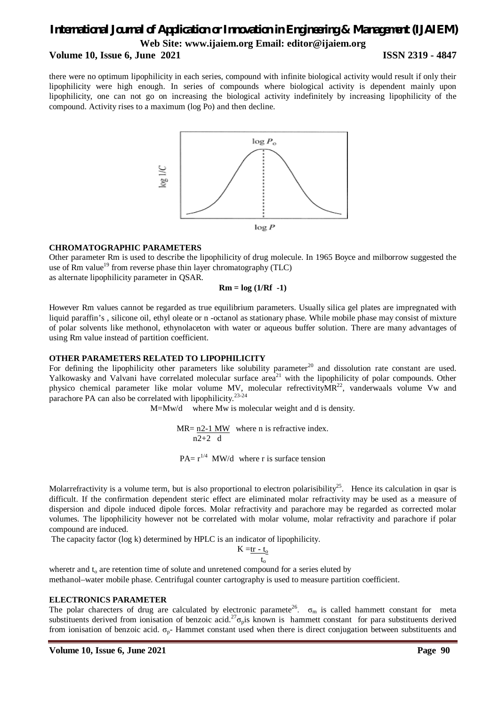#### **Volume 10, Issue 6, June 2021 ISSN 2319 - 4847**

there were no optimum lipophilicity in each series, compound with infinite biological activity would result if only their lipophilicity were high enough. In series of compounds where biological activity is dependent mainly upon lipophilicity, one can not go on increasing the biological activity indefinitely by increasing lipophilicity of the compound. Activity rises to a maximum (log Po) and then decline.



#### **CHROMATOGRAPHIC PARAMETERS**

Other parameter Rm is used to describe the lipophilicity of drug molecule. In 1965 Boyce and milborrow suggested the use of Rm value<sup>19</sup> from reverse phase thin layer chromatography (TLC)

as alternate lipophilicity parameter in QSAR.

#### **Rm = log (1/Rf -1)**

However Rm values cannot be regarded as true equilibrium parameters. Usually silica gel plates are impregnated with liquid paraffin's , silicone oil, ethyl oleate or n -octanol as stationary phase. While mobile phase may consist of mixture of polar solvents like methonol, ethynolaceton with water or aqueous buffer solution. There are many advantages of using Rm value instead of partition coefficient.

#### **OTHER PARAMETERS RELATED TO LIPOPHILICITY**

For defining the lipophilicity other parameters like solubility parameter<sup>20</sup> and dissolution rate constant are used. Yalkowasky and Valvani have correlated molecular surface area<sup>21</sup> with the lipophilicity of polar compounds. Other physico chemical parameter like molar volume MV, molecular refrectivity $MR^{22}$ , vanderwaals volume Vw and parachore PA can also be correlated with lipophilicity.<sup>23-24</sup>

M=Mw/d where Mw is molecular weight and d is density.

MR=  $n2-1$  MW where n is refractive index.  $n2+2$  d  $PA = r^{1/4}$  MW/d where r is surface tension

Molarrefractivity is a volume term, but is also proportional to electron polarisibility<sup>25</sup>. Hence its calculation in qsar is difficult. If the confirmation dependent steric effect are eliminated molar refractivity may be used as a measure of dispersion and dipole induced dipole forces. Molar refractivity and parachore may be regarded as corrected molar volumes. The lipophilicity however not be correlated with molar volume, molar refractivity and parachore if polar compound are induced.

The capacity factor (log k) determined by HPLC is an indicator of lipophilicity.

 $K = tr - t_0$ t<sub>o</sub>

wheretr and  $t_0$  are retention time of solute and unretened compound for a series eluted by

methanol–water mobile phase. Centrifugal counter cartography is used to measure partition coefficient.

#### **ELECTRONICS PARAMETER**

The polar charecters of drug are calculated by electronic paramete<sup>26</sup>.  $\sigma_m$  is called hammett constant for meta substituents derived from ionisation of benzoic acid.<sup>27</sup> $\sigma_p$ is known is hammett constant for para substituents derived from ionisation of benzoic acid.  $\sigma_{p}$ - Hammet constant used when there is direct conjugation between substituents and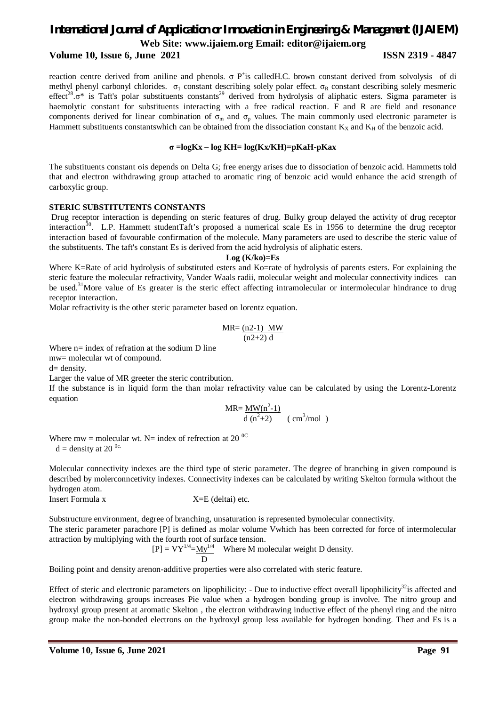#### **Volume 10, Issue 6, June 2021 ISSN 2319 - 4847**

reaction centre derived from aniline and phenols.  $\sigma$  P<sup>+</sup>is calledH.C. brown constant derived from solvolysis of di methyl phenyl carbonyl chlorides.  $\sigma_1$  constant describing solely polar effect.  $\sigma_R$  constant describing solely mesmeric effect<sup>28</sup>. $\sigma^*$  is Taft's polar substituents constants<sup>29</sup> derived from hydrolysis of aliphatic esters. Sigma parameter is haemolytic constant for substituents interacting with a free radical reaction. F and R are field and resonance components derived for linear combination of  $\sigma_m$  and  $\sigma_p$  values. The main commonly used electronic parameter is Hammett substituents constantswhich can be obtained from the dissociation constant  $K_X$  and  $K_H$  of the benzoic acid.

#### **σ =logKx – log KH= log(Kx/KH)=pKaH-pKax**

The substituents constant σis depends on Delta G; free energy arises due to dissociation of benzoic acid. Hammetts told that and electron withdrawing group attached to aromatic ring of benzoic acid would enhance the acid strength of carboxylic group.

#### **STERIC SUBSTITUTENTS CONSTANTS**

Drug receptor interaction is depending on steric features of drug. Bulky group delayed the activity of drug receptor interaction<sup>30</sup>. L.P. Hammett studentTaft's proposed a numerical scale Es in 1956 to determine the drug receptor interaction based of favourable confirmation of the molecule. Many parameters are used to describe the steric value of the substituents. The taft's constant Es is derived from the acid hydrolysis of aliphatic esters.

#### **Log (K/ko)=Es**

Where K=Rate of acid hydrolysis of substituted esters and Ko=rate of hydrolysis of parents esters. For explaining the steric feature the molecular refractivity, Vander Waals radii, molecular weight and molecular connectivity indices can be used.<sup>31</sup>More value of Es greater is the steric effect affecting intramolecular or intermolecular hindrance to drug receptor interaction.

Molar refractivity is the other steric parameter based on lorentz equation.

$$
MR = \frac{(n2-1) \quad MW}{(n2+2) \, d}
$$

Where  $n=$  index of refration at the sodium D line mw= molecular wt of compound.

 $d=$  density.

Larger the value of MR greeter the steric contribution.

If the substance is in liquid form the than molar refractivity value can be calculated by using the Lorentz-Lorentz equation

$$
MR = \frac{MW(n^2-1)}{d (n^2+2)}
$$
 ( cm<sup>3</sup>/mol )

Where mw = molecular wt. N= index of refrection at 20<sup> $\degree$ C</sup>  $d =$  density at 20<sup>0c.</sup>

Molecular connectivity indexes are the third type of steric parameter. The degree of branching in given compound is described by molerconncetivity indexes. Connectivity indexes can be calculated by writing Skelton formula without the hydrogen atom.

Insert Formula x X=E (deltai) etc.

Substructure environment, degree of branching, unsaturation is represented bymolecular connectivity. The steric parameter parachore [P] is defined as molar volume Vwhich has been corrected for force of intermolecular attraction by multiplying with the fourth root of surface tension.

 $[P] = VY^{1/4} = My^{1/4}$  Where M molecular weight D density. D

Boiling point and density arenon-additive properties were also correlated with steric feature.

Effect of steric and electronic parameters on lipophilicity: - Due to inductive effect overall lipophilicity<sup>32</sup>is affected and electron withdrawing groups increases Pie value when a hydrogen bonding group is involve. The nitro group and hydroxyl group present at aromatic Skelton , the electron withdrawing inductive effect of the phenyl ring and the nitro group make the non-bonded electrons on the hydroxyl group less available for hydrogen bonding. Theσ and Es is a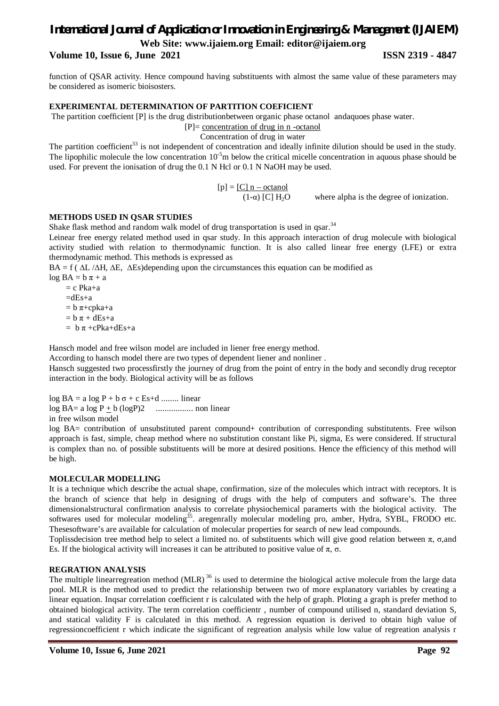### **Volume 10, Issue 6, June 2021 ISSN 2319 - 4847**

function of QSAR activity. Hence compound having substituents with almost the same value of these parameters may be considered as isomeric bioisosters.

#### **EXPERIMENTAL DETERMINATION OF PARTITION COEFICIENT**

The partition coefficient [P] is the drug distributionbetween organic phase octanol andaquoes phase water.

[P]= concentration of drug in n -octanol

Concentration of drug in water

The partition coefficient<sup>33</sup> is not independent of concentration and ideally infinite dilution should be used in the study. The lipophilic molecule the low concentration  $10^{-5}$ m below the critical micelle concentration in aquous phase should be used. For prevent the ionisation of drug the 0.1 N Hcl or 0.1 N NaOH may be used.

 $[p] = [C] n - octanol$ 

(1- $\alpha$ ) [C] H<sub>2</sub>O where alpha is the degree of ionization.

#### **METHODS USED IN QSAR STUDIES**

Shake flask method and random walk model of drug transportation is used in qsar.<sup>34</sup>

Leinear free energy related method used in qsar study. In this approach interaction of drug molecule with biological activity studied with relation to thermodynamic function. It is also called linear free energy (LFE) or extra thermodynamic method. This methods is expressed as

BA = f ( ∆L /∆H, ∆E, ∆Es)depending upon the circumstances this equation can be modified as

 $\log BA = b \pi + a$  $= c$  Pka+a  $=dEs+a$  $= b \pi + c$ pka+a  $= b \pi + dEs + a$  $= b \pi + cPka + dEs + a$ 

Hansch model and free wilson model are included in liener free energy method.

According to hansch model there are two types of dependent liener and nonliner .

Hansch suggested two processfirstly the journey of drug from the point of entry in the body and secondly drug receptor interaction in the body. Biological activity will be as follows

log  $BA = a \log P + b \sigma + c Es + d$  ........ linear log BA= a log P + b (logP)2 ................. non linear in free wilson model

log BA= contribution of unsubstituted parent compound+ contribution of corresponding substitutents. Free wilson approach is fast, simple, cheap method where no substitution constant like Pi, sigma, Es were considered. If structural is complex than no. of possible substituents will be more at desired positions. Hence the efficiency of this method will be high.

### **MOLECULAR MODELLING**

It is a technique which describe the actual shape, confirmation, size of the molecules which intract with receptors. It is the branch of science that help in designing of drugs with the help of computers and software's. The three dimensionalstructural confirmation analysis to correlate physiochemical paramerts with the biological activity. The softwares used for molecular modeling<sup>35</sup>. aregenrally molecular modeling pro, amber, Hydra, SYBL, FRODO etc. Thesesoftware's are available for calculation of molecular properties for search of new lead compounds.

Toplissdecision tree method help to select a limited no. of substituents which will give good relation between π, σ,and Es. If the biological activity will increases it can be attributed to positive value of  $\pi$ ,  $\sigma$ .

#### **REGRATION ANALYSIS**

The multiple linearregreation method (MLR)<sup>36</sup> is used to determine the biological active molecule from the large data pool. MLR is the method used to predict the relationship between two of more explanatory variables by creating a linear equation. Inqsar correlation coefficient r is calculated with the help of graph. Ploting a graph is prefer method to obtained biological activity. The term correlation coefficientr , number of compound utilised n, standard deviation S, and statical validity F is calculated in this method. A regression equation is derived to obtain high value of regressioncoefficient r which indicate the significant of regreation analysis while low value of regreation analysis r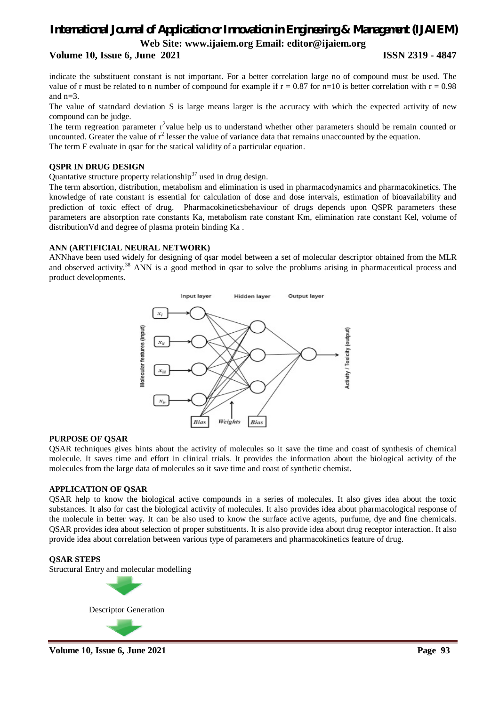**Volume 10, Issue 6, June 2021 ISSN 2319 - 4847**

indicate the substituent constant is not important. For a better correlation large no of compound must be used. The value of r must be related to n number of compound for example if  $r = 0.87$  for n=10 is better correlation with  $r = 0.98$ and n=3.

The value of statndard deviation S is large means larger is the accuracy with which the expected activity of new compound can be judge.

The term regreation parameter  $r^2$ value help us to understand whether other parameters should be remain counted or uncounted. Greater the value of  $r^2$  lesser the value of variance data that remains unaccounted by the equation. The term F evaluate in qsar for the statical validity of a particular equation.

#### **QSPR IN DRUG DESIGN**

Quantative structure property relationship<sup>37</sup> used in drug design.

The term absortion, distribution, metabolism and elimination is used in pharmacodynamics and pharmacokinetics. The knowledge of rate constant is essential for calculation of dose and dose intervals, estimation of bioavailability and prediction of toxic effect of drug. Pharmacokineticsbehaviour of drugs depends upon QSPR parameters these parameters are absorption rate constants Ka, metabolism rate constant Km, elimination rate constant Kel, volume of distributionVd and degree of plasma protein binding Ka .

### **ANN (ARTIFICIAL NEURAL NETWORK)**

ANNhave been used widely for designing of qsar model between a set of molecular descriptor obtained from the MLR and observed activity.<sup>38</sup> ANN is a good method in qsar to solve the problums arising in pharmaceutical process and product developments.



### **PURPOSE OF QSAR**

QSAR techniques gives hints about the activity of molecules so it save the time and coast of synthesis of chemical molecule. It saves time and effort in clinical trials. It provides the information about the biological activity of the molecules from the large data of molecules so it save time and coast of synthetic chemist.

#### **APPLICATION OF QSAR**

QSAR help to know the biological active compounds in a series of molecules. It also gives idea about the toxic substances. It also for cast the biological activity of molecules. It also provides idea about pharmacological response of the molecule in better way. It can be also used to know the surface active agents, purfume, dye and fine chemicals. QSAR provides idea about selection of proper substituents. It is also provide idea about drug receptor interaction. It also provide idea about correlation between various type of parameters and pharmacokinetics feature of drug.

#### **QSAR STEPS**

Structural Entry and molecular modelling



**Volume 10, Issue 6, June 2021** Page 93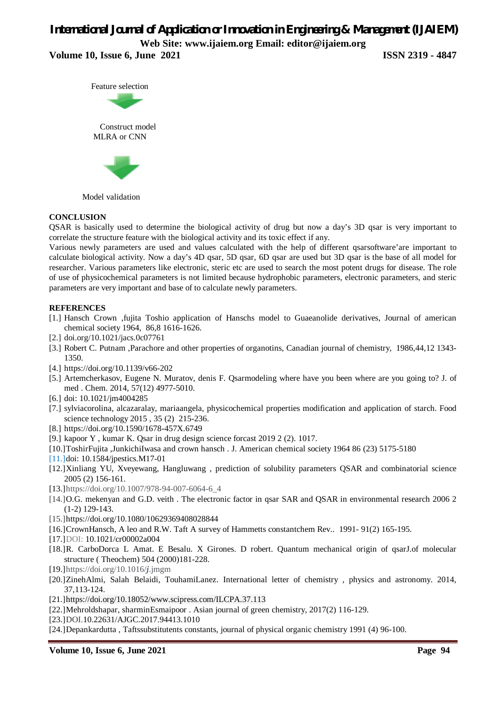**Volume 10, Issue 6, June 2021 ISSN 2319 - 4847** 





Model validation

#### **CONCLUSION**

QSAR is basically used to determine the biological activity of drug but now a day's 3D qsar is very important to correlate the structure feature with the biological activity and its toxic effect if any.

Various newly parameters are used and values calculated with the help of different qsarsoftware'are important to calculate biological activity. Now a day's 4D qsar, 5D qsar, 6D qsar are used but 3D qsar is the base of all model for researcher. Various parameters like electronic, steric etc are used to search the most potent drugs for disease. The role of use of physicochemical parameters is not limited because hydrophobic parameters, electronic parameters, and steric parameters are very important and base of to calculate newly parameters.

#### **REFERENCES**

- [1.] Hansch Crown ,fujita Toshio application of Hanschs model to Guaeanolide derivatives, Journal of american chemical society 1964, 86,8 1616-1626.
- [2.] doi.org/10.1021/jacs.0c07761
- [3.] Robert C. Putnam ,Parachore and other properties of organotins, Canadian journal of chemistry, 1986,44,12 1343- 1350.
- [4.] https://doi.org/10.1139/v66-202
- [5.] Artemcherkasov, Eugene N. Muratov, denis F. Qsarmodeling where have you been where are you going to? J. of med . Chem. 2014, 57(12) 4977-5010.
- [6.] doi: 10.1021/jm4004285
- [7.] sylviacorolina, alcazaralay, mariaangela, physicochemical properties modification and application of starch. Food science technology 2015 , 35 (2) 215-236.
- [8.] https://doi.org/10.1590/1678-457X.6749
- [9.] kapoor Y , kumar K. Qsar in drug design science forcast 2019 2 (2). 1017.
- [10.]ToshirFujita ,JunkichiIwasa and crown hansch . J. American chemical society 1964 86 (23) 5175-5180
- [11.]doi: 10.1584/jpestics.M17-01
- [12.]Xinliang YU, Xveyewang, Hangluwang , prediction of solubility parameters QSAR and combinatorial science 2005 (2) 156-161.
- [13.]https://doi.org/10.1007/978-94-007-6064-6\_4
- [14.]O.G. mekenyan and G.D. veith . The electronic factor in qsar SAR and QSAR in environmental research 2006 2 (1-2) 129-143.
- [15.]https://doi.org/10.1080/10629369408028844
- [16.]CrownHansch, A leo and R.W. Taft A survey of Hammetts constantchem Rev.. 1991- 91(2) 165-195.
- [17.]DOI: 10.1021/cr00002a004
- [18.]R. CarboDorca L Amat. E Besalu. X Girones. D robert. Quantum mechanical origin of qsarJ.of molecular structure ( Theochem) 504 (2000)181-228.
- [19.]https://doi.org/10.1016/*j*.jmgm
- [20.]ZinehAlmi, Salah Belaidi, TouhamiLanez. International letter of chemistry , physics and astronomy. 2014, 37,113-124.
- [21.]https://doi.org/10.18052/www.scipress.com/ILCPA.37.113
- [22.]Mehroldshapar, sharminEsmaipoor . Asian journal of green chemistry, 2017(2) 116-129.
- [23.]DOI.10.22631/AJGC.2017.94413.1010
- [24.]Depankardutta , Taftssubstitutents constants, journal of physical organic chemistry 1991 (4) 96-100.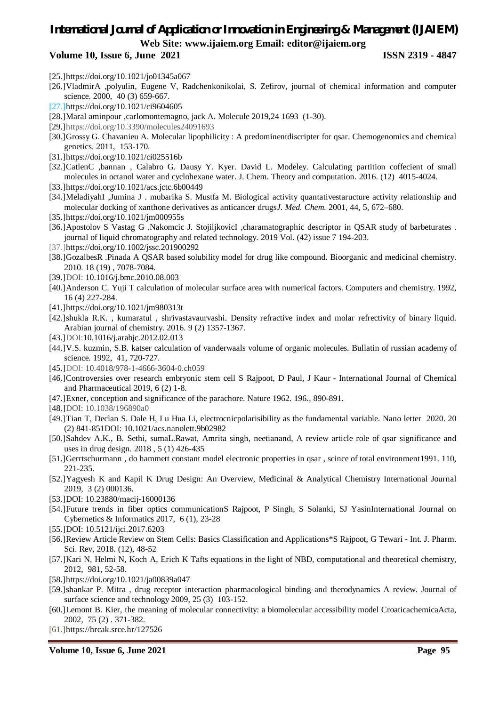### *International Journal of Application or Innovation in Engineering & Management (IJAIEM)* **Web Site: www.ijaiem.org Email: editor@ijaiem.org Volume 10, Issue 6, June 2021 ISSN 2319 - 4847**

# [25.]https://doi.org/10.1021/jo01345a067

- [26.]VladmirA ,polyulin, Eugene V, Radchenkonikolai, S. Zefirov, journal of chemical information and computer science. 2000, 40 (3) 659-667.
- [27.]https://doi.org/10.1021/ci9604605
- [28.]Maral aminpour ,carlomontemagno, jack A. Molecule 2019,24 1693 (1-30).
- [29.]https://doi.org/10.3390/molecules24091693
- [30.]Grossy G. Chavanieu A. Molecular lipophilicity : A predominentdiscripter for qsar. Chemogenomics and chemical genetics. 2011, 153-170.
- [31.]https://doi.org/10.1021/ci025516b
- [32.]CatlenC ,bannan , Calabro G. Dausy Y. Kyer. David L. Modeley. Calculating partition coffecient of small molecules in octanol water and cyclohexane water. J. Chem. Theory and computation. 2016. (12) 4015-4024.
- [33.]https://doi.org/10.1021/acs.jctc.6b00449
- [34.]MeladiyahI ,Jumina J . mubarika S. Mustfa M. Biological activity quantativestaructure activity relationship and molecular docking of xanthone derivatives as anticancer drugs*J. Med. Chem.* 2001, 44, 5, 672–680.
- [35.]https://doi.org/10.1021/jm000955s
- [36.]Apostolov S Vastag G .Nakomcic J. StojiljkovicI ,charamatographic descriptor in QSAR study of barbeturates . journal of liquid chromatography and related technology. 2019 Vol. (42) issue 7 194-203.
- [37.]https://doi.org/10.1002/jssc.201900292
- [38.]GozalbesR .Pinada A QSAR based solubility model for drug like compound. Bioorganic and medicinal chemistry. 2010. 18 (19) , 7078-7084.
- [39.]DOI: 10.1016/j.bmc.2010.08.003
- [40.]Anderson C. Yuji T calculation of molecular surface area with numerical factors. Computers and chemistry. 1992, 16 (4) 227-284.
- [41.]https://doi.org/10.1021/jm980313t
- [42.]shukla R.K. , kumaratul , shrivastavaurvashi. Density refractive index and molar refrectivity of binary liquid. Arabian journal of chemistry. 2016. 9 (2) 1357-1367.
- [43.]DOI:10.1016/j.arabjc.2012.02.013
- [44.]V.S. kuzmin, S.B. katser calculation of vanderwaals volume of organic molecules. Bullatin of russian academy of science. 1992, 41, 720-727.
- [45.]DOI: 10.4018/978-1-4666-3604-0.ch059
- [46.]Controversies over research embryonic stem cell S Rajpoot, D Paul, J Kaur International Journal of Chemical and Pharmaceutical 2019, 6 (2) 1-8.
- [47.]Exner, conception and significance of the parachore. Nature 1962. 196., 890-891.
- [48.]DOI: 10.1038/196890a0
- [49.]Tian T, Declan S. Dale H, Lu Hua Li, electrocnicpolarisibility as the fundamental variable. Nano letter 2020. 20 (2) 841-851DOI: 10.1021/acs.nanolett.9b02982
- [50.]Sahdev A.K., B. Sethi, sumaL.Rawat, Amrita singh, neetianand, A review article role of qsar significance and uses in drug design. 2018 , 5 (1) 426-435
- [51.]Gerrtschurmann , do hammett constant model electronic properties in qsar , scince of total environment1991. 110, 221-235.
- [52.]Yagyesh K and Kapil K Drug Design: An Overview, Medicinal & Analytical Chemistry International Journal 2019, 3 (2) 000136.
- [53.]DOI: 10.23880/macij-16000136
- [54.]Future trends in fiber optics communicationS Rajpoot, P Singh, S Solanki, SJ YasinInternational Journal on Cybernetics & Informatics 2017, 6 (1), 23-28
- [55.]DOI: 10.5121/ijci.2017.6203
- [56.]Review Article Review on Stem Cells: Basics Classification and Applications\*S Rajpoot, G Tewari Int. J. Pharm. Sci. Rev, 2018. (12), 48-52
- [57.]Kari N, Helmi N, Koch A, Erich K Tafts equations in the light of NBD, computational and theoretical chemistry, 2012, 981, 52-58.
- [58.]https://doi.org/10.1021/ja00839a047
- [59.]shankar P. Mitra , drug receptor interaction pharmacological binding and therodynamics A review. Journal of surface science and technology 2009, 25 (3) 103-152.
- [60.]Lemont B. Kier, the meaning of molecular connectivity: a biomolecular accessibility model CroaticachemicaActa, 2002, 75 (2) . 371-382.
- [61.]https://hrcak.srce.hr/127526

**Volume 10, Issue 6, June 2021 Page 95**